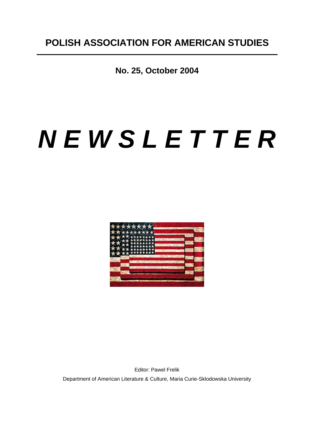**No. 25, October 2004**

# *N E W S L E T T E R*



Editor: Pawel Frelik Department of American Literature & Culture, Maria Curie-Sklodowska University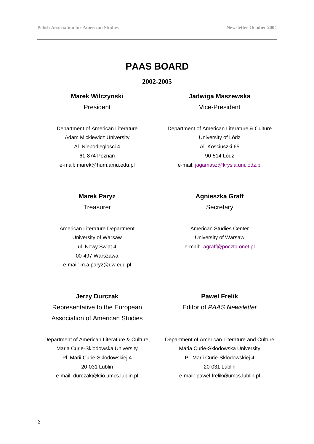# **PAAS BOARD**

**2002-2005**

## **Marek Wilczynski**

President

Department of American Literature Adam Mickiewicz University Al. Niepodleglosci 4 61-874 Poznan e-mail: marek@hum.amu.edu.pl

**Jadwiga Maszewska**

Vice-President

Department of American Literature & Culture University of Lódz Al. Kosciuszki 65 90-514 Lódz e-mail: jagamasz@krysia.uni.lodz.pl

## **Marek Paryz**

**Treasurer** 

American Literature Department University of Warsaw ul. Nowy Swiat 4 00-497 Warszawa e-mail: m.a.paryz@uw.edu.pl

# **Agnieszka Graff**

**Secretary** 

American Studies Center University of Warsaw e-mail: agraff@poczta.onet.pl

### **Jerzy Durczak**

Representative to the European Association of American Studies

Department of American Literature & Culture, Maria Curie-Sklodowska University Pl. Marii Curie-Sklodowskiej 4 20-031 Lublin e-mail: durczak@klio.umcs.lublin.pl

# **Pawel Frelik**

Editor of *PAAS Newsletter*

Department of American Literature and Culture Maria Curie-Sklodowska University Pl. Marii Curie-Sklodowskiej 4 20-031 Lublin e-mail: pawel.frelik@umcs.lublin.pl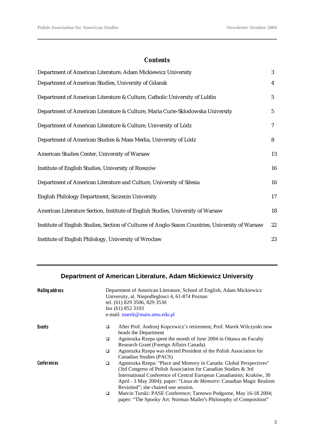## *Contents*

| Department of American Literature, Adam Mickiewicz University                                    | 3            |
|--------------------------------------------------------------------------------------------------|--------------|
| Department of American Studies, University of Gdansk                                             | 4            |
| Department of American Literature & Culture, Catholic University of Lublin                       | $\mathbf{5}$ |
| Department of American Literature & Culture, Maria Curie-Sklodowska University                   | $\mathbf{5}$ |
| Department of American Literature & Culture, University of Lódz                                  | 7            |
| Department of American Studies & Mass Media, University of Lódz                                  | 8            |
| American Studies Center, University of Warsaw                                                    | 13           |
| Institute of English Studies, University of Rzeszów                                              | 16           |
| Department of American Literature and Culture, University of Silesia                             | 16           |
| English Philology Department, Szczecin University                                                | $17\,$       |
| American Literature Section, Institute of English Studies, University of Warsaw                  | 18           |
| Institute of English Studies, Section of Cultures of Anglo-Saxon Countries, University of Warsaw | $22\,$       |
| Institute of English Philology, University of Wroclaw                                            | 23           |

## **Department of American Literature, Adam Mickiewicz University**

| <b>Mailing address</b> |   | Department of American Literature, School of English, Adam Mickiewicz<br>University, al. Niepodleglosci 4, 61-874 Poznan<br>tel. (61) 829 3506, 829 3530<br>fax (61) 852 3103<br>e-mail: marek@main.amu.edu.pl |
|------------------------|---|----------------------------------------------------------------------------------------------------------------------------------------------------------------------------------------------------------------|
| Events                 | o | After Prof. Andrzej Kopcewicz's retirement, Prof. Marek Wilczynki now                                                                                                                                          |
|                        |   | heads the Department                                                                                                                                                                                           |
|                        | □ | Agnieszka Rzepa spent the month of June 2004 in Ottawa on Faculty                                                                                                                                              |
|                        |   | Research Grant (Foreign Affairs Canada)                                                                                                                                                                        |
|                        | □ | Agnieszka Rzepa was elected President of the Polish Association for                                                                                                                                            |
|                        |   | Canadian Studies (PACS)                                                                                                                                                                                        |
| Conferences            | □ | Agnieszka Rzepa: "Place and Memory in Canada: Global Perspectives"                                                                                                                                             |
|                        |   | (3rd Congress of Polish Association for Canadian Studies & 3rd                                                                                                                                                 |
|                        |   | International Conference of Central European Canadianists; Kraków, 30                                                                                                                                          |
|                        |   | April - 3 May 2004); paper: "Lieux de Memoire: Canadian Magic Realism                                                                                                                                          |
|                        |   | Revisited"; she chaired one session.                                                                                                                                                                           |
|                        | ❏ | Marcin Turski: PASE Conference; Tarnowo Podgorne, May 16-18 2004;<br>paper: "The Spooky Art: Norman Mailer's Philosophy of Composition"                                                                        |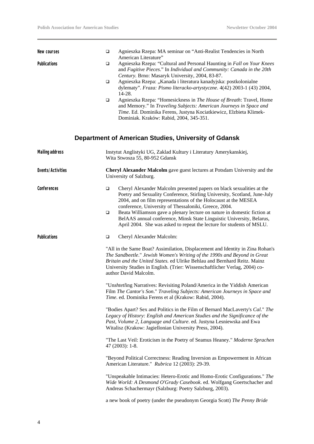| New courses            | $\Box$           | Agnieszka Rzepa: MA seminar on "Anti-Realist Tendencies in North                                                                                                                                                                                                                                                                                           |
|------------------------|------------------|------------------------------------------------------------------------------------------------------------------------------------------------------------------------------------------------------------------------------------------------------------------------------------------------------------------------------------------------------------|
| <b>Publications</b>    | $\Box$           | American Literature"<br>Agnieszka Rzepa: "Cultural and Personal Haunting in Fall on Your Knees<br>and Fugitive Pieces." In Individual and Community: Canada in the 20th<br>Century. Brno: Masaryk University, 2004, 83-87.                                                                                                                                 |
|                        | $\Box$           | Agnieszka Rzepa: "Kanada i literatura kanadyjska: postkolonialne<br>dylematy". Fraza: Pismo literacko-artystyczne. 4(42) 2003-1 (43) 2004,<br>14-28.                                                                                                                                                                                                       |
|                        | □                | Agnieszka Rzepa: "Homesickness in The House of Breath: Travel, Home<br>and Memory." In Traveling Subjects: American Journeys in Space and<br>Time. Ed. Dominika Ferens, Justyna Kociatkiewicz, Elzbieta Klimek-<br>Dominiak. Kraków: Rabid, 2004, 345-351.                                                                                                 |
|                        |                  | Department of American Studies, University of Gdansk                                                                                                                                                                                                                                                                                                       |
| <b>Mailing address</b> |                  | Instytut Anglistyki UG, Zaklad Kultury i Literatury Amerykanskiej,<br>Wita Stwosza 55, 80-952 Gdansk                                                                                                                                                                                                                                                       |
| Events/Activities      |                  | Cheryl Alexander Malcolm gave guest lectures at Potsdam University and the<br>University of Salzburg.                                                                                                                                                                                                                                                      |
| Conferences            | $\Box$<br>$\Box$ | Cheryl Alexander Malcolm presented papers on black sexualities at the<br>Poetry and Sexuality Conference, Stirling University, Scotland, June-July<br>2004, and on film representations of the Holocaust at the MESEA<br>conference, University of Thessaloniki, Greece, 2004.<br>Beata Williamson gave a plenary lecture on nature in domestic fiction at |
|                        |                  | BelAAS annual conference, Minsk State Linguistic University, Belarus,<br>April 2004. She was asked to repeat the lecture for students of MSLU.                                                                                                                                                                                                             |
| <b>Publications</b>    | $\Box$           | Cheryl Alexander Malcolm:                                                                                                                                                                                                                                                                                                                                  |
|                        |                  | "All in the Same Boat? Assimilation, Displacement and Identity in Zina Rohan's<br>The Sandbeetle." Jewish Women's Writing of the 1990s and Beyond in Great<br>Britain and the United States. ed Ulrike Behlau and Bernhard Reitz. Mainz<br>University Studies in English. (Trier: Wissenschaftlicher Verlag, 2004) co-<br>author David Malcolm.            |
|                        |                  | "Unshtetling Narratives: Revisiting Poland/America in the Yiddish American<br>Film The Cantor's Son." Traveling Subjects: American Journeys in Space and<br>Time. ed. Dominika Ferens et al (Krakow: Rabid, 2004).                                                                                                                                         |
|                        |                  | "Bodies Apart? Sex and Politics in the Film of Bernard MacLaverty's Cal." The<br>Legacy of History: English and American Studies and the Significance of the<br>Past, Volume 2, Language and Culture. ed. Justyna Lesniewska and Ewa<br>Witalisz (Krakow: Jagiellonian University Press, 2004).                                                            |
|                        |                  | "The Last Veil: Eroticism in the Poetry of Seamus Heaney." Moderne Sprachen<br>$47(2003): 1-8.$                                                                                                                                                                                                                                                            |
|                        |                  | "Beyond Political Correctness: Reading Inversion as Empowerment in African<br>American Literature." Rubrica 12 (2003): 29-39.                                                                                                                                                                                                                              |
|                        |                  | "Unspeakable Intimacies: Hetero-Erotic and Homo-Erotic Configurations." The<br>Wide World: A Desmond O'Grady Casebook. ed. Wolfgang Goertschacher and<br>Andreas Schachermayr (Salzburg: Poetry Salzburg, 2003).                                                                                                                                           |
|                        |                  | a new book of poetry (under the pseudonym Georgia Scott) The Penny Bride                                                                                                                                                                                                                                                                                   |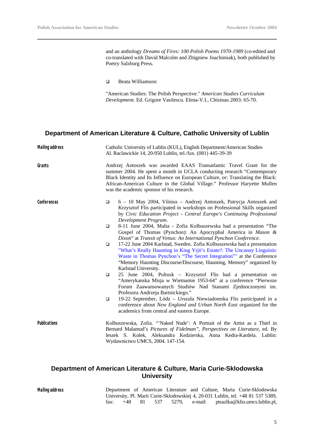and an anthology *Dreams of Fires: 100 Polish Poems 1970-1989* (co-edited and co-translated with David Malcolm and Zbigniew Joachimiak), both published by Poetry Salzburg Press.

q Beata Williamson:

"American Studies: The Polish Perspective." *American Studies Curriculum Development.* Ed. Grigore Vasilescu. Elena-V.I., Chisinau 2003: 65-70.

## **Department of American Literature & Culture, Catholic University of Lublin**

| <b>Mailing address</b> | Catholic University of Lublin (KUL), English Department/American Studies<br>Al. Raclawickie 14, 20-950 Lublin, tel./fax. (081) 445-39-39                                                                                                                                                                                                                       |
|------------------------|----------------------------------------------------------------------------------------------------------------------------------------------------------------------------------------------------------------------------------------------------------------------------------------------------------------------------------------------------------------|
| Grants                 | Andrzej Antoszek was awarded EAAS Transatlantic Travel Grant for the<br>summer 2004. He spent a month in UCLA conducting research "Contemporary<br>Black Identity and Its Influence on European Culture, or: Translating the Black:<br>African-American Culture in the Global Village." Professor Haryette Mullen<br>was the academic sponsor of his research. |
| Conferences            | 6 - 10 May 2004, Vilnius - Andrzej Antoszek, Patrycja Antoszek and<br>$\Box$<br>Krzysztof Flis participated in workshops on Professional Skills organized<br>by Civic Education Project - Central Europe's Continuing Professional<br>Development Program.                                                                                                     |
|                        | 8-11 June 2004, Malta - Zofia Kolbuszewska had a presentation "The<br>$\Box$<br>Gospel of Thomas (Pynchon): An Apocryphal America in Mason &<br>Dixon" at Transit of Venus: An International Pynchon Conference.                                                                                                                                               |
|                        | 17-22 June 2004 Karlstad, Sweden. Zofia Kolbuszewska had a presentation<br>$\Box$<br>"What's Really Haunting in King Yrjö's Estate?: The Uncanny Linguistic<br>Waste in Thomas Pynchon's "The Secret Integration"" at the Conference<br>"Memory Haunting Discourse/Discourse, Haunting, Memory" organized by<br>Karlstad University.                           |
|                        | 25 June 2004, Pultusk - Krzysztof Flis had a presentation on<br>$\Box$<br>"Amerykanska Misja w Wietnamie 1953-64" at a conference "Pierwsze<br>Forum Zaawansowanych Studiów Nad Stanami Zjednoczonymi im.<br>Profesora Andrzeja Bartnickiego."                                                                                                                 |
|                        | 19-22 September, Lódz - Urszula Niewiadomska Flis participated in a<br>$\Box$<br>conference about New England and Urban North East organized for the<br>academics from central and eastern Europe.                                                                                                                                                             |
| <b>Publications</b>    | Kolbuszewska, Zofia. "Naked Nude': A Portrait of the Artist as a Thief in<br>Bernard Malamud's Pictures of Fidelman", Perspectives on Literature, ed. By<br>leszek S. Kolek, Aleksandra Kedzierska, Anna Kedra-Kardela. Lublin:<br>Wydawnictwo UMCS, 2004. 147-154.                                                                                            |

## **Department of American Literature & Culture, Maria Curie-Sklodowska University**

**Mailing address** Department of American Literature and Culture, Maria Curie-Sklodowska University, Pl. Marii Curie-Sklodowskiej 4, 20-031 Lublin, tel. +48 81 537 5389, fax: +48 81 537 5279, e-mail: ptsazlka@klio.umcs.lublin.pl, fax: +48 81 537 5279, e-mail: ptsazlka@klio.umcs.lublin.pl,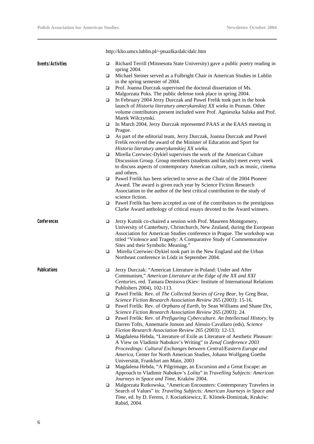|                     |        | http://klio.umcs.lublin.pl/~ptsazlka/dalc/dalc.htm                                                                                                                                                                                                                                                                                  |
|---------------------|--------|-------------------------------------------------------------------------------------------------------------------------------------------------------------------------------------------------------------------------------------------------------------------------------------------------------------------------------------|
| Events/Activities   | ▫      | Richard Terrill (Minnesota State University) gave a public poetry reading in<br>spring 2004.                                                                                                                                                                                                                                        |
|                     | ▫      | Michael Steiner served as a Fulbright Chair in American Studies in Lublin<br>in the spring semester of 2004.                                                                                                                                                                                                                        |
|                     | $\Box$ | Prof. Joanna Durczak supervised the doctoral dissertation of Ms.                                                                                                                                                                                                                                                                    |
|                     |        | Malgorzata Poks. The public defense took place in spring 2004.                                                                                                                                                                                                                                                                      |
|                     | □      | In February 2004 Jerzy Durczak and Pawel Frelik took part in the book                                                                                                                                                                                                                                                               |
|                     |        | launch of Historia literatury amerykanskiej XX wieku in Poznan. Other<br>volume contributors present included were Prof. Agnieszka Salska and Prof.<br>Marek Wilczynski.                                                                                                                                                            |
|                     | $\Box$ | In March 2004, Jerzy Durczak represented PAAS at the EAAS meeting in<br>Prague.                                                                                                                                                                                                                                                     |
|                     | ▫      | As part of the editorial team, Jerzy Durczak, Joanna Durczak and Pawel                                                                                                                                                                                                                                                              |
|                     |        | Frelik received the award of the Minister of Education and Sport for<br>Historia literatury amerykanskiej XX wieku.                                                                                                                                                                                                                 |
|                     | □      | Mirella Czerwiec-Dykiel supervises the work of the American Culture                                                                                                                                                                                                                                                                 |
|                     |        | Discussion Group. Group members (students and faculty) meet every week<br>to discuss aspects of contemporary American culture, such as music, cinema                                                                                                                                                                                |
|                     |        | and others.                                                                                                                                                                                                                                                                                                                         |
|                     | ▫      | Pawel Frelik has been selected to serve as the Chair of the 2004 Pioneer                                                                                                                                                                                                                                                            |
|                     |        | Award. The award is given each year by Science Fiction Research<br>Association to the author of the best critical contribution to the study of<br>science fiction.                                                                                                                                                                  |
|                     | □      | Pawel Frelik has been accepted as one of the contributors to the prestigious<br>Clarke Award anthology of critical essays devoted to the Award winners.                                                                                                                                                                             |
| Conferences         | □      | Jerzy Kutnik co-chaired a session with Prof. Maureen Montgomery,<br>University of Canterbury, Christchurch, New Zealand, during the European<br>Association for American Studies conference in Prague. The workshop was<br>titled "Violence and Tragedy: A Comparative Study of Commemorative<br>Sites and their Symbolic Meaning." |
|                     | □      | Mirella Czerwiec-Dykiel took part in the New England and the Urban<br>Northeast conference in Lódz in September 2004.                                                                                                                                                                                                               |
| <b>Publications</b> | ❏      | Jerzy Durczak: "American Literature in Poland: Under and After<br>Communism," American Literature at the Edge of the XX and XXI<br>Centuries, red. Tamara Denisova (Kiev: Institute of International Relations<br>Publishers 2004), 102-113.                                                                                        |
|                     | □      | Pawel Frelik: Rev. of The Collected Stories of Greg Bear, by Greg Bear,                                                                                                                                                                                                                                                             |
|                     | □      | Science Fiction Research Association Review 265 (2003): 15-16.<br>Pawel Frelik: Rev. of Orphans of Earth, by Sean Williams and Shane Dix,                                                                                                                                                                                           |
|                     |        | Science Fiction Research Association Review 265 (2003): 24.<br>Pawel Frelik: Rev. of Prefiguring Cyberculture. An Intellectual History, by                                                                                                                                                                                          |
|                     | □      | Darren Tofts, Annemarie Jonson and Alessio Cavallaro (eds), Science<br>Fiction Research Association Review 265 (2003): 12-13.                                                                                                                                                                                                       |
|                     | □      | Magdalena Hebda, "Literature of Exile as Literature of Aesthetic Pleasure:<br>A View on Vladimir Nabokov's Writing" in Zenaf Conference 2003<br>Proceedings: Cultural Exchanges between Central/Eastern Europe and<br>America, Center for North American Studies, Johann Wolfgang Goethe<br>Universität, Frankfurt am Main, 2003    |
|                     | □      | Magdalena Hebda, "A Pilgrimage, an Excursion and a Great Escape: an<br>Approach to Vladimir Nabokov's Lolita" in Travelling Subjects: American<br>Journeys in Space and Time, Kraków 2004.                                                                                                                                          |
|                     | ❏      | Malgorzata Rutkowska, "American Encounters: Contemporary Travelers in<br>Search of Values" in: Traveling Subjects: American Journeys in Space and<br>Time, ed. by D. Ferens, J. Kociatkiewicz, E. Klimek-Dominiak, Kraków:<br>Rabid, 2004.                                                                                          |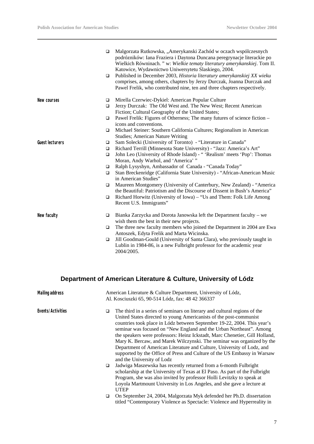|                        | $\Box$<br>$\Box$ | Malgorzata Rutkowska, "Amerykanski Zachód w oczach wspólczesnych<br>podrózników: Iana Fraziera i Daytona Duncana peregrynacje literackie po<br>Wielkich Równinach. " w: Wielkie tematy literatury amerykanskiej. Tom II.<br>Katowice, Wydawnictwo Uniwersytetu Slaskiego, 2004.<br>Published in December 2003, Historia literatury amerykanskiej XX wieku<br>comprises, among others, chapters by Jerzy Durczak, Joanna Durczak and<br>Pawel Frelik, who contributed nine, ten and three chapters respectively. |
|------------------------|------------------|-----------------------------------------------------------------------------------------------------------------------------------------------------------------------------------------------------------------------------------------------------------------------------------------------------------------------------------------------------------------------------------------------------------------------------------------------------------------------------------------------------------------|
| New courses            | □                | Mirella Czerwiec-Dykiel: American Popular Culture                                                                                                                                                                                                                                                                                                                                                                                                                                                               |
|                        | $\Box$           | Jerzy Durczak: The Old West and. The New West; Recent American<br>Fiction; Cultural Geography of the United States;                                                                                                                                                                                                                                                                                                                                                                                             |
|                        | $\Box$           | Pawel Frelik: Figures of Otherness; The many futures of science fiction -<br>icons and conventions.                                                                                                                                                                                                                                                                                                                                                                                                             |
|                        | $\Box$           | Michael Steiner: Southern California Cultures; Regionalism in American<br><b>Studies</b> ; American Nature Writing                                                                                                                                                                                                                                                                                                                                                                                              |
| <b>Guest lecturers</b> | $\Box$           | Sam Solecki (University of Toronto) - "Literature in Canada"                                                                                                                                                                                                                                                                                                                                                                                                                                                    |
|                        | $\Box$           | Richard Terrill (Minnesota State University) - "Jazz: America's Art"                                                                                                                                                                                                                                                                                                                                                                                                                                            |
|                        | $\Box$           | John Leo (University of Rhode Island) - "'Realism' meets 'Pop': Thomas<br>Moran, Andy Warhol, and 'America'"                                                                                                                                                                                                                                                                                                                                                                                                    |
|                        | $\Box$           | Ralph Lysyshyn, Ambassador of Canada - "Canada Today"                                                                                                                                                                                                                                                                                                                                                                                                                                                           |
|                        | $\Box$           | Stan Breckenridge (California State University) - "African-American Music<br>in American Studies"                                                                                                                                                                                                                                                                                                                                                                                                               |
|                        | $\Box$           | Maureen Montgomery (University of Canterbury, New Zealand) - "America<br>the Beautiful: Patriotism and the Discourse of Dissent in Bush's America"                                                                                                                                                                                                                                                                                                                                                              |
|                        | $\Box$           | Richard Horwitz (University of Iowa) – "Us and Them: Folk Life Among<br>Recent U.S. Immigrants"                                                                                                                                                                                                                                                                                                                                                                                                                 |
| New faculty            | $\Box$           | Bianka Zarzycka and Dorota Janowska left the Department faculty - we<br>wish them the best in their new projects.                                                                                                                                                                                                                                                                                                                                                                                               |
|                        | □                | The three new faculty members who joined the Department in 2004 are Ewa<br>Antoszek, Edyta Frelik and Marta Wicinska.                                                                                                                                                                                                                                                                                                                                                                                           |
|                        | $\Box$           | Jill Goodman-Gould (University of Santa Clara), who previously taught in<br>Lublin in 1984-86, is a new Fulbright professor for the academic year<br>2004/2005.                                                                                                                                                                                                                                                                                                                                                 |

## **Department of American Literature & Culture, University of Lódz**

| <b>Mailing address</b> |   | American Literature & Culture Department, University of Lódz,<br>Al. Kosciuszki 65, 90-514 Lódz, fax: 48 42 366337                                                                                                                                                                                                                                                                                                                                                                                                                                                                                                                             |
|------------------------|---|------------------------------------------------------------------------------------------------------------------------------------------------------------------------------------------------------------------------------------------------------------------------------------------------------------------------------------------------------------------------------------------------------------------------------------------------------------------------------------------------------------------------------------------------------------------------------------------------------------------------------------------------|
| Events/Activities      | □ | The third in a series of seminars on literary and cultural regions of the<br>United States directed to young Americanists of the post-communist<br>countries took place in Lódz between September 19-22, 2004. This year's<br>seminar was focused on "New England and the Urban Northeast". Among<br>the speakers were professors: Heinz Ickstadt, Marc Chenetier, Gill Holland,<br>Mary K. Bercaw, and Marek Wilczynski. The seminar was organized by the<br>Department of American Literature and Culture, University of Lodz, and<br>supported by the Office of Press and Culture of the US Embassy in Warsaw<br>and the University of Lodz |
|                        | □ | Jadwiga Maszewska has recently returned from a 6-month Fulbright<br>scholarship at the University of Texas at El Paso. As part of the Fulbright<br>Program, she was also invited by professor Holli Levitzky to speak at<br>Loyola Martmount University in Los Angeles, and she gave a lecture at<br><b>UTEP</b>                                                                                                                                                                                                                                                                                                                               |
|                        | □ | On September 24, 2004, Malgorzata Myk defended her Ph.D. dissertation<br>titled "Contemporary Violence as Spectacle: Violence and Hyperreality in                                                                                                                                                                                                                                                                                                                                                                                                                                                                                              |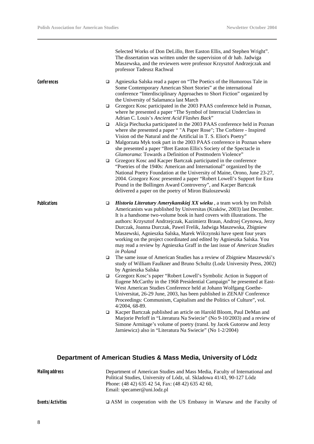|                     |   | Selected Works of Don DeLillo, Bret Easton Ellis, and Stephen Wright".<br>The dissertation was written under the supervision of dr hab. Jadwiga<br>Maszewska, and the reviewers were professor Krzysztof Andrzejczak and<br>professor Tadeusz Rachwal                                                                                                                                                                                                                                                                                                                                                                    |
|---------------------|---|--------------------------------------------------------------------------------------------------------------------------------------------------------------------------------------------------------------------------------------------------------------------------------------------------------------------------------------------------------------------------------------------------------------------------------------------------------------------------------------------------------------------------------------------------------------------------------------------------------------------------|
| Conferences         | ❏ | Agnieszka Salska read a paper on "The Poetics of the Humorous Tale in<br>Some Contemporary American Short Stories" at the international<br>conference "Interdisciplinary Approaches to Short Fiction" organized by<br>the University of Salamanca last March                                                                                                                                                                                                                                                                                                                                                             |
|                     | □ | Grzegorz Kosc participated in the 2003 PAAS conference held in Poznan,<br>where he presented a paper "The Symbol of Interracial Underclass in<br>Adrian C. Louis's Ancient Acid Flashes Back"                                                                                                                                                                                                                                                                                                                                                                                                                            |
|                     | ❏ | Alicja Piechucka participated in the 2003 PAAS conference held in Poznan<br>where she presented a paper " "A Paper Rose"; The Corbiere - Inspired<br>Vision od the Natural and the Artificial in T. S. Eliot's Poetry"                                                                                                                                                                                                                                                                                                                                                                                                   |
|                     | □ | Malgorzata Myk took part in the 2003 PAAS conference in Poznan where<br>she presented a paper "Bret Easton Ellis's Society of the Spectacle in<br>Glamorama: Towards a Definition of Postmodern Violence"                                                                                                                                                                                                                                                                                                                                                                                                                |
|                     | □ | Grzegorz Kosc and Kacper Bartczak participated in the conference<br>"Poetries of the 1940s: American and International" organized by the<br>National Poetry Foundation at the University of Maine, Orono, June 23-27,<br>2004. Grzegorz Kosc presented a paper "Robert Lowell's Support for Ezra<br>Pound in the Bollingen Award Controversy", and Kacper Bartczak<br>delivered a paper on the poetry of Miron Bialoszewski                                                                                                                                                                                              |
| <b>Publications</b> | ❏ | Historia Literatury Amerykanskiej XX wieku, a team work by ten Polish<br>Americanists was published by Universitas (Kraków, 2003) last December.<br>It is a handsome two-volume book in hard covers with illustrations. The<br>authors: Krzysztof Andrzejczak, Kazimierz Braun, Andrzej Ceynowa, Jerzy<br>Durczak, Joanna Durczak, Pawel Frelik, Jadwiga Maszewska, Zbigniew<br>Maszewski, Agnieszka Salska, Marek Wilczynski have spent four years<br>working on the project coordinated and edited by Agnieszka Salska. You<br>may read a review by Agnieszka Graff in the last issue of American Studies<br>in Poland |
|                     | □ | The same issue of American Studies has a review of Zbigniew Maszewski's<br>study of William Faulkner and Bruno Schultz (Lodz University Press, 2002)<br>by Agnieszka Salska                                                                                                                                                                                                                                                                                                                                                                                                                                              |
|                     | ❏ | Grzegorz Kosc's paper "Robert Lowell's Symbolic Action in Support of<br>Eugene McCarthy in the 1968 Presidential Campaign" he presented at East-<br>West American Studies Conference held at Johann Wolfgang Goethe-<br>Universitat, 26-29 June, 2003, has been published in ZENAF Conference<br>Proceedings: Communism, Capitalism and the Politics of Culture", vol.<br>4/2004, 68-89.                                                                                                                                                                                                                                 |
|                     | ❏ | Kacper Bartczak published an article on Harold Bloom, Paul DeMan and<br>Marjorie Perloff in "Literatura Na Swiecie" (No 9-10/2003) and a review of<br>Simone Armitage's volume of poetry (transl. by Jacek Gutorow and Jerzy<br>Jarniewicz) also in "Literatura Na Swiecie" (No 1-2/2004)                                                                                                                                                                                                                                                                                                                                |
|                     |   |                                                                                                                                                                                                                                                                                                                                                                                                                                                                                                                                                                                                                          |

## **Department of American Studies & Mass Media, University of Lódz**

| Mailing address   | Department of American Studies and Mass Media, Faculty of International and<br>Political Studies, University of Lódz, ul. Skladowa 41/43, 90-127 Lódz<br>Phone: (48 42) 635 42 54, Fax: (48 42) 635 42 60,<br>Email: specamer@uni.lodz.pl |
|-------------------|-------------------------------------------------------------------------------------------------------------------------------------------------------------------------------------------------------------------------------------------|
| Events/Activities | $\Box$ ASM in cooperation with the US Embassy in Warsaw and the Faculty of                                                                                                                                                                |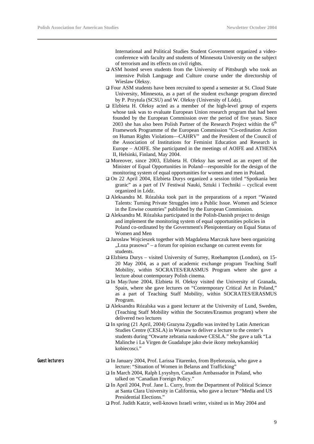International and Political Studies Student Government organized a videoconference with faculty and students of Minnesota University on the subject of terrorism and its effects on civil rights.

- $\Box$  ASM hosted seven students from the University of Pittsburgh who took an intensive Polish Language and Culture course under the directorship of Wieslaw Oleksy.
- □ Four ASM students have been recruited to spend a semester at St. Cloud State University, Minnesota, as a part of the student exchange program directed by P. Przytula (SCSU) and W. Oleksy (University of Lódz).
- $\Box$  Elzbieta H. Oleksy acted as a member of the high-level group of experts whose task was to evaluate European Union research program that had been founded by the European Commission over the period of five years. Since 2003 she has also been Polish Partner of the Research Project within the  $6<sup>th</sup>$ Framework Programme of the European Commission "Co-ordination Action on Human Rights Violations—CAHRV" and the President of the Council of the Association of Institutions for Feminist Education and Research in Europe – AOIFE. She participated in the meetings of AOIFE and ATHENA II, Helsinki, Finland, May 2004.
- $\Box$  Moreover, since 2003, Elzbieta H. Oleksy has served as an expert of the Minister of Equal Opportunities in Poland—responsible for the design of the monitoring system of equal opportunities for women and men in Poland.
- $\Box$  On 22 April 2004, Elzbieta Durys organized a session titled "Spotkania bez granic" as a part of IV Festiwal Nauki, Sztuki i Techniki – cyclical event organized in Lódz.
- $\Box$  Aleksandra M. Rózalska took part in the preparations of a report "Wasted Talents: Turning Private Struggles into a Public Issue. Women and Science in the Enwise countries" published by the European Commission.
- $\Box$  Aleksandra M. Rózalska participated in the Polish-Danish project to design and implement the monitoring system of equal opportunities policies in Poland co-ordinated by the Government's Plenipotentiary on Equal Status of Women and Men
- $\Box$  Jaroslaw Wojcieszek together with Magdalena Marczuk have been organizing "Loza prasowa" – a forum for opinion exchange on current events for students.
- $\Box$  Elzbieta Durys visited University of Surrey, Roehampton (London), on 15-20 May 2004, as a part of academic exchange program Teaching Staff Mobility, within SOCRATES/ERASMUS Program where she gave a lecture about contemporary Polish cinema.
- □ In May/June 2004, Elzbieta H. Oleksy visited the University of Granada, Spain, where she gave lectures on "Contemporary Critical Art in Poland," as a part of Teaching Staff Mobility, within SOCRATES/ERASMUS Program.
- $\Box$  Aleksandra Rózalska was a guest lecturer at the University of Lund, Sweden, (Teaching Staff Mobility within the Socrates/Erasmus program) where she delivered two lectures
- $\Box$  In spring (21 April, 2004) Grazyna Zygadlo was invited by Latin American Studies Centre (CESLA) in Warsaw to deliver a lecture to the center's students during "Otwarte zebrania naukowe CESLA." She gave a talk "La Malinche i La Virgen de Guadalupe jako dwie ikony meksykanskiej kobiecosci."

- Guest lecturers **q** In January 2004, Prof. Larissa Titarenko, from Byelorussia, who gave a lecture: "Situation of Women in Belarus and Trafficking"
	- q In March 2004, Ralph Lysyshyn, Canadian Ambassador in Poland, who talked on "Canadian Foreign Policy."
	- □ In April 2004, Prof. Jane L. Curry, from the Department of Political Science at Santa Clara University in California, who gave a lecture "Media and US Presidential Elections."
	- □ Prof. Judith Katzir, well-known Israeli writer, visited us in May 2004 and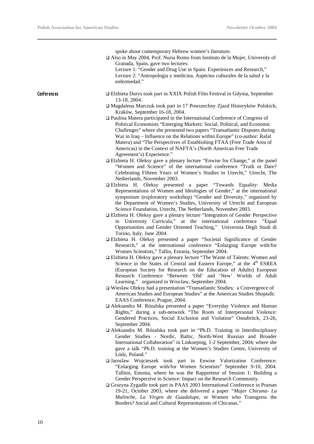|             | spoke about contemporary Hebrew women's literature.<br>Also in May 2004, Prof. Nuria Romo from Instituto de la Mujer, University of<br>Granada, Spain, gave two lectures:<br>Lecture 1: "Gender and Drug Use in Spain. Experiences and Research,"<br>Lecture 2: "Antropologia y medicina. Aspectos culturales de la salud y la<br>enfermedad."                                                                                                                                             |
|-------------|--------------------------------------------------------------------------------------------------------------------------------------------------------------------------------------------------------------------------------------------------------------------------------------------------------------------------------------------------------------------------------------------------------------------------------------------------------------------------------------------|
| Conferences | □ Elzbieta Durys took part in XXIX Polish Film Festival in Gdynia, September<br>13-18, 2004.                                                                                                                                                                                                                                                                                                                                                                                               |
|             | □ Magdalena Marczuk took part in 17 Powszechny Zjazd Historyków Polskich,<br>Kraków, September 16-18, 2004.                                                                                                                                                                                                                                                                                                                                                                                |
|             | □ Paulina Matera participated in the International Conference of Congress of<br>Political Economists "Emerging Markets: Social, Political, and Economic<br>Challenges" where she presented two papers "Transatlantic Disputes during<br>War in Iraq – Influence on the Relations within Europe" (co-author: Rafal<br>Matera) and "The Perspectives of Establishing FTAA (Free Trade Area of<br>Americas) in the Context of NAFTA's (North American Free Trade<br>Agreement's) Experience." |
|             | □ Elzbieta H. Oleksy gave a plenary lecture "Enwise for Change," at the panel<br>"Women and Science" of the international conference "Truth or Dare?<br>Celebrating Fifteen Years of Women's Studies in Utrecht," Utrecht, The<br>Netherlands, November 2003.                                                                                                                                                                                                                              |
|             | □ Elzbieta H. Oleksy presented a paper "Towards Equality: Media<br>Representations of Women and Ideologies of Gender," at the international<br>symposium (exploratory workshop) "Gender and Diversity," organized by<br>the Department of Women's Studies, University of Utrecht and European<br>Science Foundation, Utrecht, The Netherlands, November 2003.                                                                                                                              |
|             | □ Elzbieta H. Oleksy gave a plenary lecture "Integration of Gender Perspective<br>in University Curricula," at the international conference "Equal<br>Opportunities and Gender Oriented Teaching," Universita Degli Studi di<br>Torino, Italy, June 2004.                                                                                                                                                                                                                                  |
|             | □ Elzbieta H. Oleksy presented a paper "Societal Significance of Gender<br>Research," at the international conference "Enlarging Europe with/for<br>Women Scientists," Tallin, Estonia, September 2004.                                                                                                                                                                                                                                                                                    |
|             | □ Elzbieta H. Oleksy gave a plenary lecture "The Waste of Talents: Women and<br>Science in the States of Central and Eastern Europe," at the 4 <sup>th</sup> ESREA<br>(European Society for Research on the Education of Adults) European<br>Research Conference "Between 'Old' and 'New' Worlds of Adult<br>Learning," organized in Wroclaw, September 2004.                                                                                                                              |
|             | □ Wieslaw Oleksy had a presentation "Transatlantic Studies: a Convergence of<br>American Studies and European Studies" at the American Studies Shoptalk:<br>EAAS Conference, Prague, 2004.                                                                                                                                                                                                                                                                                                 |
|             | □ Aleksandra M. Rózalska presented a paper "Everyday Violence and Human<br>Rights," during a sub-network "The Roots of Interpersonal Violence:<br>Gendered Practices, Social Exclusion and Violation" Osnabrück, 23-26,<br>September 2004.                                                                                                                                                                                                                                                 |
|             | □ Aleksandra M. Rózalska took part in "Ph.D. Training in Interdisciplinary<br>Gender Studies - Nordic, Baltic, North-West Russian and Broader<br>International Collaboration" in Linkoeping, 1-2 September, 2004; where she<br>gave a talk "Ph.D. training at the Women's Studies Centre, University of                                                                                                                                                                                    |

- Lódz, Poland." q Jaroslaw Wojcieszek took part in Enwise Valorization Conference: "Enlarging Europe with/for Women Scientists" September 9-10, 2004. Tallinn, Estonia, where he was the Rapporteur of Session 1: Building a Gender Perspective in Science: Impact on the Research Community.
- □ Grazyna Zygadlo took part in PAAS 2003 International Conference in Poznan 19-21, October 2003, where she delivered a paper *"Mujer Chicana- La Malinche, La Virgen de Guadalupe*, or Women who Transgress the Borders? Social and Cultural Representations of Chicanas."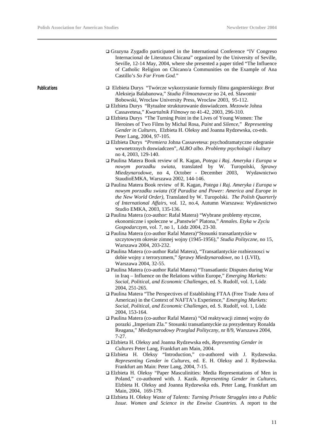| of Catholic Religion on Chicano/a Communities on the Example of Ana                                                                                                                                                                                                                                        |
|------------------------------------------------------------------------------------------------------------------------------------------------------------------------------------------------------------------------------------------------------------------------------------------------------------|
| $\Box$ Elzbieta Durys "Twórcze wykorzystanie formuly filmu gangsterskiego: Brat                                                                                                                                                                                                                            |
|                                                                                                                                                                                                                                                                                                            |
|                                                                                                                                                                                                                                                                                                            |
| Heroines of Two Films by Michal Rosa, Paint and Silence," Representing<br>Gender in Cultures, Elzbieta H. Oleksy and Joanna Rydzewska, co-eds.                                                                                                                                                             |
| □ Elzbieta Durys "Premiera Johna Cassavetesa: psychodramatyczne odegranie<br>wewnetrznych doswiadczen", ALBO albo. Problemy psychologii i kultury                                                                                                                                                          |
| □ Paulina Matera Book review of R. Kagan, Potega i Raj. Ameryka i Europa w                                                                                                                                                                                                                                 |
| nowym porzadku swiata, translated by W. Turopolski, Sprawy<br>Miedzynarodowe, no 4, October - December 2003, Wydawnictwo                                                                                                                                                                                   |
| $\Box$ Paulina Matera Book review of R. Kagan, Potega i Raj. Ameryka i Europa w<br>nowym porzadku swiata (Of Paradise and Power: America and Europe in<br>the New World Order), Translated by W. Turopolski. The Polish Quarterly<br>of International Affairs, vol. 12, no.4, Autumn Warszawa: Wydawnictwo |
|                                                                                                                                                                                                                                                                                                            |
| ekonomiczne i społeczne w "Panstwie" Platona," Annales. Etyka w Zyciu                                                                                                                                                                                                                                      |
|                                                                                                                                                                                                                                                                                                            |
|                                                                                                                                                                                                                                                                                                            |
| szczytowym okresie zimnej wojny (1945-1956)," Studia Polityczne, no 15,                                                                                                                                                                                                                                    |
| □ Paulina Matera (co-author Rafal Matera), "Transatlantyckie rozbieznosci w                                                                                                                                                                                                                                |
|                                                                                                                                                                                                                                                                                                            |
| □ Paulina Matera (co-author Rafal Matera) "Transatlantic Disputes during War                                                                                                                                                                                                                               |
| Social, Political, and Economic Challenges, ed. S. Rudolf, vol. 1, Lódz                                                                                                                                                                                                                                    |
| □ Paulina Matera "The Perspectives of Establishing FTAA (Free Trade Area of                                                                                                                                                                                                                                |
| Americas) in the Context of NAFTA's Experience," Emerging Markets:<br>Social, Political, and Economic Challenges, ed. S. Rudolf, vol. 1, Lódz                                                                                                                                                              |
| □ Paulina Matera (co-author Rafal Matera) "Od reaktywacji zimnej wojny do<br>porazki "Imperium Zla." Stosunki transatlantyckie za prezydentury Ronalda<br>Reagana," Miedzynarodowy Przeglad Polityczny, nr 8/9, Warszawa 2004,                                                                             |
|                                                                                                                                                                                                                                                                                                            |
|                                                                                                                                                                                                                                                                                                            |
| □ Elzbieta H. Oleksy "Introduction," co-authored with J. Rydzewska.<br>Representing Gender in Cultures, ed. E. H. Oleksy and J. Rydzewska.                                                                                                                                                                 |
| in Iraq - Influence on the Relations within Europe," Emerging Markets:                                                                                                                                                                                                                                     |

- □ Elzbieta H. Oleksy "Paper Masculinities: Media Representations of Men in Poland," co-authored with. J. Kazik. *Representing Gender in Cultures*, Elzbieta H. Oleksy and Joanna Rydzewska eds. Peter Lang, Frankfurt am Main, 2004, 169-179.
- q Elzbieta H. Oleksy *Waste of Talents: Turning Private Struggles into a Public Issue. Women and Science in the Enwise Countries.* A report to the

11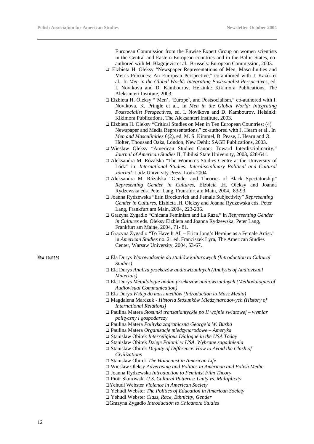European Commission from the Enwise Expert Group on women scientists in the Central and Eastern European countries and in the Baltic States, coauthored with M. Blagojevic et al.. Brussels: European Commission, 2003.

- q Elzbieta H. Oleksy "Newspaper Representations of Men, Masculinities and Men's Practices: An European Perspective," co-authored with J. Kazik et al.. In *Men in the Global World: Integrating Postsocialist Perspectives*, ed. I. Novikova and D. Kambourov. Helsinki: Kikimora Publications, The Aleksanteri Institute, 2003.
- q Elzbieta H. Oleksy "'Men', 'Europe', and Postsocialism," co-authored with I. Novikova, K. Pringle et al.. In *Men in the Global World: Integrating Postsocialist Perspectives*, ed. I. Novikova and D. Kambourov. Helsinki: Kikimora Publications, The Aleksanteri Institute, 2003.
- $\Box$  Elzbieta H. Oleksy "Critical Studies on Men in Ten European Countries: (4) Newspaper and Media Representations," co-authored with J. Hearn et al.. In *Men and Masculinities* 6(2), ed. M. S. Kimmel, B. Pease, J. Hearn and Ø. Holter, Thousand Oaks, London, New Dehli: SAGE Publications, 2003.
- q Wieslaw Oleksy "American Studies Canon: Toward Interdisciplinarity," *Journal of American Studies* II, Tibilisi State University, 2003, 628-641.
- q Aleksandra M. Rózalska "The Women's Studies Centre at the University of Lódz" in: *International Studies: Interdisciplinary Political and Cultural Journal*. Lódz University Press, Lódz 2004
- q Aleksandra M. Rózalska "Gender and Theories of Black Spectatorship" *Representing Gender in Cultures*, Elzbieta .H. Oleksy and Joanna Rydzewska eds. Peter Lang, Frankfurt am Main, 2004, 83-93.
- q Joanna Rydzewska "Erin Brockovich and Female Subjectivity" *Representing Gender in Cultures*, Elzbieta .H. Oleksy and Joanna Rydzewska eds. Peter Lang, Frankfurt am Main, 2004, 223-236.
- □ Grazyna Zygadlo "Chicana Feminism and La Raza." in *Representing Gender in Cultures* eds. Oleksy Elzbieta and Joanna Rydzewska, Peter Lang, Frankfurt am Maine, 2004, 71- 81.
- □ Grazyna Zygadlo "To Have It All Erica Jong's Heroine as a Female Artist." in *American Studies* no. 21 ed. Franciszek Lyra, The American Studies Center, Warsaw University, 2004, 53-67.

- **New courses** q Ela Durys *Wprowadzenie do studiów kulturowych (Introduction to Cultural Studies)* 
	- q Ela Durys *Analiza przekazów audiowizualnych (Analysis of Audiovisual Materials)*
	- q Ela Durys *Metodologie badan przekazów audiowizualnych (Methodologies of Audiovisual Communication)*
	- q Ela Durys *Wstep do mass mediów (Introduction to Mass Media)*
	- q Magdalena Marczuk *Historia Stosunków Miedzynarodowych (History of International Relations)*
	- q Paulina Matera *Stosunki transatlantyckie po II wojnie swiatowej wymiar polityczny i gospodarczy*
	- q Paulina Matera *Polityka zagraniczna George'a W. Busha*
	- q Paulina Matera *Organizacje miedzynarodowe Ameryka*
	- q Stanislaw Obirek *Interreligious Dialogue in the USA Today*
	- q Stanislaw Obirek *Dzieje Polonii w USA. Wybrane zagadnienia*
	- q Stanislaw Obirek *Dignity of Difference. How to Avoid the Clash of Civilizations*
	- q Stanislaw Obirek *The Holocaust in American Life*
	- q Wieslaw Oleksy *Advertising and Politics in American and Polish Media*
	- q Joanna Rydzewska *Introduction to Feminist Film Theory*
	- q Piotr Skurowski *U.S. Cultural Patterns: Unity vs. Multiplicity*
	- qYehudi Webster *Violence in American Society*
	- □ Yehudi Webster *The Politics of Education in American Society*
	- q Yehudi Webster *Class, Race, Ethnicity, Gender*
	- qGrazyna Zygadlo *Introduction to Chicano/a Studies*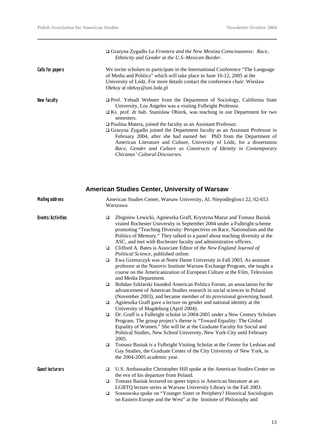|                  | □ Grazyna Zygadlo La Frontera and the New Mestiza Consciousness: Race,<br>Ethnicity and Gender at the U.S-Mexican Border.                                                                                                                                                 |
|------------------|---------------------------------------------------------------------------------------------------------------------------------------------------------------------------------------------------------------------------------------------------------------------------|
| Calls for papers | We invite scholars to participate in the International Conference "The Language"<br>of Media and Politics" which will take place in June 10-12, 2005 at the<br>University of Lódz. For more details contact the conference chair: Wieslaw<br>Oleksy at oleksy@uni.lodz.pl |
| New faculty      | $\Box$ Prof. Yehudi Webster from the Department of Sociology, California State<br>University, Los Angeles was a visiting Fulbright Professor.<br>$\Box$ Ks. prof. dr hab. Stanislaw Obirek, was teaching in our Department for two<br>semesters.                          |
|                  | $\Box$ Paulina Matera, joined the faculty as an Assistant Professor.                                                                                                                                                                                                      |
|                  | $\Box$ Grazyna Zygadlo joined the Department faculty as an Assistant Professor in                                                                                                                                                                                         |
|                  | February 2004, after she had earned her PhD from the Department of                                                                                                                                                                                                        |
|                  | American Literature and Culture, University of Lódz, for a dissertation                                                                                                                                                                                                   |
|                  | Race, Gender and Culture as Constructs of Identity in Contemporary                                                                                                                                                                                                        |
|                  | Chicanas' Cultural Discourses.                                                                                                                                                                                                                                            |

## **American Studies Center, University of Warsaw**

| <b>Mailing address</b> |        | American Studies Center, Warsaw University, Al. Niepodleglosci 22, 02-653<br>Warszawa                                                                                                                                                                                                                                                                                         |  |  |
|------------------------|--------|-------------------------------------------------------------------------------------------------------------------------------------------------------------------------------------------------------------------------------------------------------------------------------------------------------------------------------------------------------------------------------|--|--|
| Events/Activities      | $\Box$ | Zbigniew Lewicki, Agnieszka Graff, Krystyna Mazur and Tomasz Basiuk<br>visited Rochester University in September 2004 under a Fulbright scheme<br>promoting "Teaching Diversity: Perspectives on Race, Nationalism and the<br>Politics of Memory." They talked in a panel about teaching diversity at the<br>ASC, and met with Rochester faculty and administrative officers. |  |  |
|                        | $\Box$ | Clifford A. Bates is Associate Editor of the New England Journal of<br>Political Science, published online.                                                                                                                                                                                                                                                                   |  |  |
|                        | $\Box$ | Ewa Grzeszczyk was at Notre Dame University in Fall 2003. As assistant<br>professor at the Nanovic Institute Warsaw Exchange Program, she taught a<br>course on the Americanization of European Culture at the Film, Television<br>and Media Department.                                                                                                                      |  |  |
|                        | $\Box$ | Bohdan Szklarski founded American Politics Forum, an association for the<br>advancement of American Studies research in social sciences in Poland<br>(November 2003), and became member of its provisional governing board.                                                                                                                                                   |  |  |
|                        | $\Box$ | Agnieszka Graff gave a lecture on gender and national identity at the<br>University of Magdeburg (April 2004).                                                                                                                                                                                                                                                                |  |  |
|                        | $\Box$ | Dr. Graff is a Fulbright scholar in 2004-2005 under a New Century Scholars<br>Program. The group project's theme is "Toward Equality: The Global<br>Equality of Women." She will be at the Graduate Faculty for Social and<br>Political Studies, New School University, New York City until February<br>2005.                                                                 |  |  |
|                        | $\Box$ | Tomasz Basiuk is a Fulbright Visiting Scholar at the Center for Lesbian and<br>Gay Studies, the Graduate Center of the City University of New York, in<br>the 2004-2005 academic year.                                                                                                                                                                                        |  |  |
| <b>Guest lecturers</b> | $\Box$ | U.S. Ambassador Christopher Hill spoke at the American Studies Center on<br>the eve of his departure from Poland.                                                                                                                                                                                                                                                             |  |  |
|                        | $\Box$ | Tomasz Basiuk lectured on queer topics in American literature at an<br>LGBTQ lecture series at Warsaw University Library in the Fall 2003.                                                                                                                                                                                                                                    |  |  |
|                        | $\Box$ | Sosnowska spoke on "Younger Sister or Periphery? Historical Sociologists<br>on Eastern Europe and the West" at the Institute of Philosophy and                                                                                                                                                                                                                                |  |  |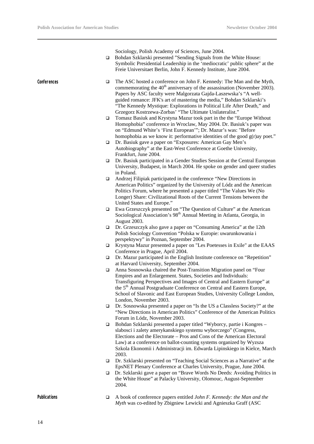Sociology, Polish Academy of Sciences, June 2004.

□ Bohdan Szklarski presented "Sending Signals from the White House: Symbolic Presidential Leadership in the 'mediocratic' public sphere" at the Freie Universitaet Berlin, John F. Kennedy Institute, June 2004.

Conferences **□** The ASC hosted a conference on John F. Kennedy: The Man and the Myth, commemorating the  $40<sup>th</sup>$  anniversary of the assassination (November 2003). Papers by ASC faculty were Malgorzata Gajda-Laszewska's "A wellguided romance: JFK's art of mastering the media," Bohdan Szklarski's "The Kennedy Mystique: Explorations in Political Life After Death," and Grzegorz Kostrzewa-Zorbas' "The Ultimate Unilateralist."

- q Tomasz Basiuk and Krystyna Mazur took part in the the "Europe Without Homophobia" conference in Wroclaw, May 2004. Dr. Basiuk's paper was on "Edmund White's 'First European'"; Dr. Mazur's was: "Before homophobia as we know it: performative identities of the good  $g(r)$ ay poet."
- q Dr. Basiuk gave a paper on "Exposures: American Gay Men's Autobiography" at the East-West Conference at Goethe University, Frankfurt, June 2004.
- q Dr. Basiuk participated in a Gender Studies Session at the Central European University, Budapest, in March 2004. He spoke on gender and queer studies in Poland.
- $\Box$  Andrzej Filipiak participated in the conference "New Directions in American Politics" organized by the University of Lódz and the American Politics Forum, where he presented a paper titled "The Values We (No Longer) Share: Civilizational Roots of the Current Tensions between the United States and Europe."
- □ Ewa Grzeszczyk presented on "The Question of Culture" at the American Sociological Association's 98<sup>th</sup> Annual Meeting in Atlanta, Georgia, in August 2003.
- □ Dr. Grzeszczyk also gave a paper on "Consuming America" at the 12th Polish Sociology Convention "Polska w Europie: uwarunkowania i perspektywy" in Poznan, September 2004.
- q Krystyna Mazur presented a paper on "Les Poetesses in Exile" at the EAAS Conference in Prague, April 2004.
- $\Box$  Dr. Mazur participated in the English Institute conference on "Repetition" at Harvard University, September 2004.
- q Anna Sosnowska chaired the Post-Transition Migration panel on "Four Empires and an Enlargement. States, Societies and Individuals: Transfiguring Perspectives and Images of Central and Eastern Europe" at the 5<sup>th</sup> Annual Postgraduate Conference on Central and Eastern Europe, School of Slavonic and East European Studies, University College London, London, November 2003.
- □ Dr. Sosnowska presented a paper on "Is the US a Classless Society?" at the "New Directions in American Politics" Conference of the American Politics Forum in Lódz, November 2003.
- □ Bohdan Szklarski presented a paper titled "Wyborcy, partie i Kongres slabosci i zalety amerykanskiego systemu wyborczego" (Congress, Elections and the Electorate – Pros and Cons of the American Electoral Law) at a conference on ballot-counting systems organized by Wyzsza Szkola Ekonomii i Administracji im. Edwarda Lipinskiego in Kielce, March 2003.
- q Dr. Szklarski presented on "Teaching Social Sciences as a Narrative" at the EpsNET Plenary Conference at Charles University, Prague, June 2004.
- q Dr. Szklarski gave a paper on "Brave Words No Deeds: Avoiding Politics in the White House" at Palacky University, Olomouc, August-September 2004.

**Publications q** A book of conference papers entitled *John F. Kennedy: the Man and the Myth* was co-edited by Zbigniew Lewicki and Agnieszka Graff (ASC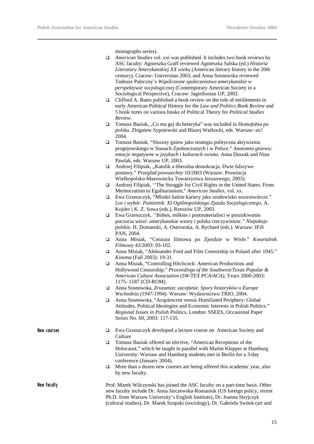monographs series).

- q *American Studies* vol. xxi was published. It includes two book reviews by ASC faculty: Agnieszka Graff reviewed Agnieszka Salska (ed.) *Historia Literatury Amerykanskiej XX wieku* (American literary history in the 20th century), Cracow: Universitas 2003, and Anna Sosnowska reviewed Tadeusz Paleczny's *Wspólczesne spoleczenstwo amerykanskie w perspektywie socjologicznej* (Contemporary American Society in a Sociological Perspective), Cracow: Jagiellonian UP, 2002.
- $\Box$  Clifford A. Bates published a book review on the role of entitlements in early American Political History for the *Law and Politics Book Review* and 5 book notes on various books of Political Theory for *Political Studies Review*.
- □ Tomasz Basiuk, "Co ma gej do heteryka" was included in *Homofobia po polsku*. Zbigniew Sypniewski and Blazej Warkocki, eds. Warsaw: sic! 2004.
- $\Box$  Tomasz Basiuk, "Sluszny gniew jako strategia polityczna aktywizmu progejowskiego w Stanach Zjednoczonych i w Polsce." *Anatomia gniewu: emocje negatywne w jezykach i kulturach swiata.* Anna Duszak and Nina Pawlak, eds. Warsaw UP, 2003.
- □ Andrzej Filipiak, "Katolik a liberalna demokracja. Dwie falszywe postawy." *Przeglad powszechny* 10/2003 (Warsaw: Prowincja Wielkopolsko-Mazowiecka Towarzystwa Jezusowego, 2003).
- q Andrzej Filipiak, ''The Struggle for Civil Rights in the United States. From Meritocratism to Egalitarianism," *American Studies*, vol. xx.
- q Ewa Grzeszczyk, "Mlodzi ludzie kariery jako srodowisko wzorotwórcze." *Los i wybór. Pamietnik XI Ogólnopolskiego Zjazdu Socjologicznego*, A. Kojder i K. Z. Sowa (eds.), Rzeszów UP, 2003.
- q Ewa Grzeszczyk, ''Bobos, milkies i postmaterialisci w poszukiwaniu poczucia wiezi: amerykanskie wzory i polska rzeczywistosc." *Niepokoje polskie*. H. Domanski, A. Ostrowska, A. Rychard (eds.), Warsaw: IFiS PAN, 2004.
- q Anna Misiak, "Cenzura filmowa po Zjezdzie w Wisle." *Kwartalnik Filmowy* 43/2003: 93-102.
- q Anna Misiak, "Aleksander Ford and Film Censorship in Poland after 1945." *Kinema* (Fall 2003): 19-31.
- q Anna Misiak, "Controlling Hitchcock: American Productions and Hollywood Censorship." *Proceedings of the Southwest/Texas Popular & American Culture Association (SW/TEX PCA/ACA),* Years 2000-2003: 1175- 1187 (CD-ROM).
- q Anna Sosnowska, *Zrozumiec zacofanie. Spory historyków o Europe Wschodnia (1947-1994)*. Warsaw: Wydawnictwo TRIO, 2004.
- q Anna Sosnowska, "Acquiescent versus Humiliated Periphery: Global Attitudes, Political Ideologies and Economic Interests in Polish Politics." *Regional Issues in Polish Politics,* London: SSEES, Occasional Paper Series No. 60, 2003: 117-135.

- New courses **q** Ewa Grzeszczyk developed a lecture course on American Society and **Culture** 
	- □ Tomasz Basiuk offered an elective, "American Receptions of the Holocaust," which he taught in parallel with Martin Klepper at Hamburg University: Warsaw and Hamburg students met in Berlin for a 3-day conference (January 2004).
	- $\Box$  More than a dozen new courses are being offered this academic year, also by new faculty.

**New faculty** Prof. Marek Wilczynski has joined the ASC faculty on a part-time basis. Other new faculty include Dr. Anna Jarczewska-Romaniuk (US foreign policy, recent Ph.D. from Warsaw University's English Institute), Dr. Joanna Stryjczyk (cultural studies), Dr. Marek Szopski (sociology), Dr. Gabriela Switek (art and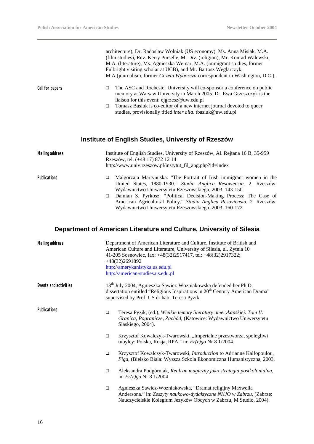|                        | architecture), Dr. Radoslaw Wolniak (US economy), Ms. Anna Misiak, M.A.<br>(film studies), Rev. Kerry Purselle, M. Div. (religion), Mr. Konrad Walewski,<br>M.A. (literature), Ms. Agnieszka Weinar, M.A. (immigrant studies, former<br>Fulbright visiting scholar at UCB), and Mr. Bartosz Weglarczyk,<br>M.A.(journalism, former Gazeta Wyborcza correspondent in Washington, D.C.). |
|------------------------|----------------------------------------------------------------------------------------------------------------------------------------------------------------------------------------------------------------------------------------------------------------------------------------------------------------------------------------------------------------------------------------|
| Call for papers        | The ASC and Rochester University will co-sponsor a conference on public<br>▫<br>memory at Warsaw University in March 2005. Dr. Ewa Grzeszczyk is the<br>liaison for this event: ejgrzesz@uw.edu.pl<br>Tomasz Basiuk is co-editor of a new internet journal devoted to queer<br>$\Box$                                                                                                  |
|                        | studies, provisionally titled inter alia. tbasiuk@uw.edu.pl                                                                                                                                                                                                                                                                                                                            |
|                        | <b>Institute of English Studies, University of Rzeszów</b>                                                                                                                                                                                                                                                                                                                             |
| <b>Mailing address</b> | Institute of English Studies, University of Rzeszów, Al. Rejtana 16 B, 35-959<br>Rzeszów, tel. (+48 17) 872 12 14<br>http://www.univ.rzeszow.pl/instytut_fil_ang.php?id=index                                                                                                                                                                                                          |
| Publications           | Malgorzata Martynuska. "The Portrait of Irish immigrant women in the<br>▫<br>United States, 1880-1930." Studia Anglica Resoviensia. 2. Rzeszów:<br>Wydawnictwo Uniwersytetu Rzeszowskiego, 2003. 143-150.                                                                                                                                                                              |
|                        | <b>D</b> Damian S Pyrkosz "Political Decision-Making Process: The Case of                                                                                                                                                                                                                                                                                                              |

q Damian S. Pyrkosz. "Political Decision-Making Process: The Case of American Agricultural Policy." *Studia Anglica Resoviensia.* 2. Rzeszów: Wydawnictwo Uniwersytetu Rzeszowskiego, 2003. 160-172.

## **Department of American Literature and Culture, University of Silesia**

| <b>Mailing address</b> |        | Department of American Literature and Culture, Institute of British and<br>American Culture and Literature, University of Silesia, ul. Zytnia 10<br>41-205 Sosnowiec, fax: +48(32)2917417, tel: +48(32)2917322;<br>$+48(32)2691892$<br>http://amerykanistyka.us.edu.pl<br>http://american-studies.us.edu.pl |
|------------------------|--------|-------------------------------------------------------------------------------------------------------------------------------------------------------------------------------------------------------------------------------------------------------------------------------------------------------------|
| Events and activities  |        | 13 <sup>th</sup> July 2004, Agnieszka Sawicz-Wozniakowska defended her Ph.D.<br>dissertation entitled "Religious Inspirations in 20 <sup>th</sup> Century American Drama"<br>supervised by Prof. US dr hab. Teresa Pyzik                                                                                    |
| Publications           | $\Box$ | Teresa Pyzik, (ed.), Wielkie tematy literatury amerykanskiej. Tom II:<br>Granica, Pogranicze, Zachód, (Katowice: Wydawnictwo Uniwersytetu<br>Slaskiego, 2004).                                                                                                                                              |
|                        | $\Box$ | Krzysztof Kowalczyk-Twarowski, "Imperialne przestworza, spolegliwi<br>tubylcy: Polska, Rosja, RPA." in: $Er(r)go$ Nr 8 1/2004.                                                                                                                                                                              |
|                        | $\Box$ | Krzysztof Kowalczyk-Twarowski, Introduction to Adrianne Kalfopoulou,<br>Figa, (Bielsko Biala: Wyzsza Szkola Ekonomiczna Humanistyczna, 2003.                                                                                                                                                                |
|                        | $\Box$ | Aleksandra Podgórniak, Realizm magiczny jako strategia postkolonialna,<br>in: $Er(r)go$ Nr 8 1/2004                                                                                                                                                                                                         |
|                        | $\Box$ | Agnieszka Sawicz-Wozniakowska, "Dramat religijny Maxwella<br>Andersona." in: Zeszyty naukowo-dydaktyczne NKJO w Zabrzu, (Zabrze:<br>Nauczycielskie Kolegium Jezyków Obcych w Zabrzu, M Studio, 2004).                                                                                                       |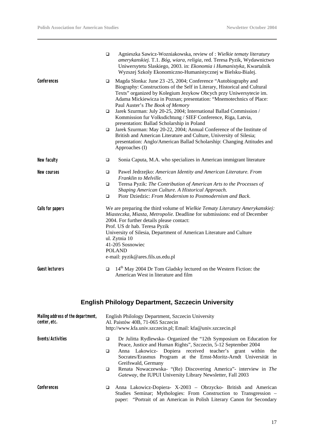|                        | $\Box$                                                                                                                                                                                                                                                                                                                                                                                                      | Agnieszka Sawicz-Wozniakowska, review of : Wielkie tematy literatury<br>amerykanskiej. T.1. Bóg, wiara, religia, red. Teresa Pyzik, Wydawnictwo<br>Uniwersytetu Slaskiego, 2003. in: Ekonomia i Humanistyka, Kwartalnik<br>Wyzszej Szkoly Ekonomiczno-Humanistycznej w Bielsku-Bialej.                                                                                                                                                                                                                                                                                                                                                                                                                                                                         |
|------------------------|-------------------------------------------------------------------------------------------------------------------------------------------------------------------------------------------------------------------------------------------------------------------------------------------------------------------------------------------------------------------------------------------------------------|----------------------------------------------------------------------------------------------------------------------------------------------------------------------------------------------------------------------------------------------------------------------------------------------------------------------------------------------------------------------------------------------------------------------------------------------------------------------------------------------------------------------------------------------------------------------------------------------------------------------------------------------------------------------------------------------------------------------------------------------------------------|
| Conferences            | ❏<br>❏<br>$\Box$                                                                                                                                                                                                                                                                                                                                                                                            | Magda Slonka: June 23 -25, 2004; Conference "Autobiography and<br>Biography: Constructions of the Self in Literary, Historical and Cultural<br>Texts" organized by Kolegium Jezykow Obcych przy Uniwersytecie im.<br>Adama Mickiewicza in Poznan; presentation: "Mnemotechnics of Place:<br>Paul Auster's The Book of Memory<br>Jarek Szurman: July 20-25, 2004; International Ballad Commission /<br>Kommission fur Volksdichtung / SIEF Conference, Riga, Latvia,<br>presentation: Ballad Scholarship in Poland<br>Jarek Szurman: May 20-22, 2004; Annual Conference of the Institute of<br>British and American Literature and Culture, University of Silesia;<br>presentation: Anglo/American Ballad Scholarship: Changing Attitudes and<br>Approaches (I) |
| New faculty            | $\Box$                                                                                                                                                                                                                                                                                                                                                                                                      | Sonia Caputa, M.A. who specializes in American immigrant literature                                                                                                                                                                                                                                                                                                                                                                                                                                                                                                                                                                                                                                                                                            |
| New courses            | $\Box$<br>$\Box$<br>$\Box$                                                                                                                                                                                                                                                                                                                                                                                  | Pawel Jedrzejko: American Identity and American Literature. From<br>Franklin to Melville.<br>Teresa Pyzik: The Contribution of American Arts to the Processes of<br>Shaping American Culture. A Historical Approach.<br>Piotr Dziedzic: From Modernism to Postmodernism and Back.                                                                                                                                                                                                                                                                                                                                                                                                                                                                              |
| Calls for papers       | We are preparing the third volume of Wielkie Tematy Literatury Amerykanskiej:<br>Miasteczka, Miasta, Metropolie. Deadline for submissions: end of December<br>2004. For further details please contact:<br>Prof. US dr hab. Teresa Pyzik<br>University of Silesia, Department of American Literature and Culture<br>ul. Zytnia 10<br>41-205 Sosnowiec<br><b>POLAND</b><br>e-mail: pyzik@ares.fils.us.edu.pl |                                                                                                                                                                                                                                                                                                                                                                                                                                                                                                                                                                                                                                                                                                                                                                |
| <b>Guest lecturers</b> | $\Box$                                                                                                                                                                                                                                                                                                                                                                                                      | 14 <sup>th</sup> May 2004 Dr Tom Gladsky lectured on the Western Fiction: the<br>American West in literature and film                                                                                                                                                                                                                                                                                                                                                                                                                                                                                                                                                                                                                                          |

## **English Philology Department, Szczecin University**

| Mailing address of the department,<br>center, etc. |             | English Philology Department, Szczecin University<br>Al. Paistów 40B, 71-065 Szczecin<br>http://www.kfa.univ.szczecin.pl; Email: kfa@univ.szczecin.pl                                                                                                                                                                                                                                                                                        |
|----------------------------------------------------|-------------|----------------------------------------------------------------------------------------------------------------------------------------------------------------------------------------------------------------------------------------------------------------------------------------------------------------------------------------------------------------------------------------------------------------------------------------------|
| Events/Activities                                  | □<br>□<br>□ | Dr Julitta Rydlewska- Organized the "12th Symposium on Education for<br>Peace, Justice and Human Rights", Szczecin, 5-12 September 2004<br>Anna Lakowicz- Dopiera received teacher's grant within the<br>Socrates/Erasmus Program at the Ernst-Moritz-Arndt Universität in<br>Greifswald, Germany<br>Renata Nowaczewska- "(Re) Discovering America"- interview in The<br><i>Gateway</i> , the IUPUI University Library Newsletter, Fall 2003 |
| Conferences                                        | □           | Anna Lakowicz-Dopiera- X-2003 - Obrzycko- British and American<br>Studies Seminar; Mythologies: From Construction to Transgression –<br>paper: "Portrait of an American in Polish Literary Canon for Secondary                                                                                                                                                                                                                               |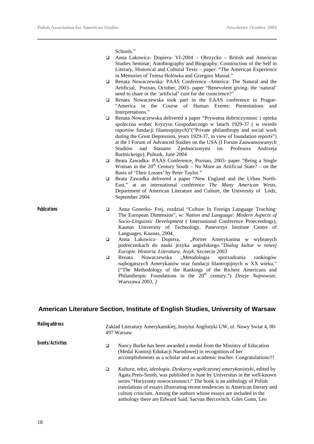Schools."

- $\Box$  Anna Lakowicz- Dopiera- VI-2004 Obrzycko British and American Studies Seminar; Autobiography and Biography: Construction of the Self in Literary, Historical and Cultural Texts – paper: "The American Experience in Memories of Teresa Holówka and Grzegorz Musial."
- q Renata Nowaczewska- PAAS Conference -America: The Natural and the Artificial, Poznan, October, 2003- paper "Benevolent giving- the 'natural' need to share or the 'artificial' cure for the conscience?"
- q Renata Nowaczewska took part in the EAAS conference in Prague- "America in the Course of Human Events: Presentations and Interpretations."
- q Renata Nowaczewska delivered a paper "Prywatna dobroczynnosc i opieka spoleczna wobec Kryzysu Gospodarczego w latach 1929-37 ( w swietle raportów fundacji filantropijnych)"("Private philanthropy and social work during the Great Depression, years 1929-37, in view of foundation reports") at the I Forum of Advanced Studies on the USA (I Forum Zaawansowanych Studiów nad Stanami Zjednoczonymi im. Profesora Andrzeja Bartnickeigo), Pultusk, June 2004
- q Beata Zawadka- PAAS Conference, Poznan, 2003- paper "Being a Single Woman in the  $20<sup>th</sup>$  Century South – No More an Artificial State? – on the Basis of 'Their Losses' by Peter Taylor."
- q Beata Zawadka delivered a paper "New England and the Urban North-East," at an international conference *The Many American Wests,* Department of American Literature and Culture, the University of Lódz, September 2004
- **Publications q** Anna Gonerko- Frej, rozdzial "Culture In Foreign Language Teaching: The European Dimension", w: *Nation and Language: Modern Aspects of Socio-Linguistic Development* ( International Conference Proeceedings), Kaunas University of Technology, Panevezys Institute Centre of Languages, Kaunas, 2004,
	- q Anna Lakowicz- Dopiera, "Portret Amerykanina w wybranych podrecznikach do nauki jezyka angielskiego*."Dialog kultur w nowej Europie. Historia. Literatura. Jezyk*. Szczecin 2003
	- q Renata Nowaczewska "Metodologia sporzadzania rankingów najbogatszych Amerykanów oraz fundacji filantropijnych w XX wieku." ("The Methodology of the Rankings of the Richest Americans and Philanthropic Foundations in the 20<sup>th</sup> century.") *Dzieje Najnowsze*, Warszawa 2003, 2

#### **American Literature Section, Institute of English Studies, University of Warsaw**

| Mailing address   |   | Zaklad Literatury Amerykanskiej, Instytut Anglistyki UW, ul. Nowy Swiat 4, 00-<br>497 Warsaw                                                                                                                                                                                                                                                                                                                                                                      |  |
|-------------------|---|-------------------------------------------------------------------------------------------------------------------------------------------------------------------------------------------------------------------------------------------------------------------------------------------------------------------------------------------------------------------------------------------------------------------------------------------------------------------|--|
| Events/Activities | □ | Nancy Burke has been awarded a medal from the Ministry of Education<br>(Medal Komisji Edukacji Narodowej) in recognition of her<br>accomplishments as a scholar and an academic teacher. Congratulations!!!                                                                                                                                                                                                                                                       |  |
|                   | □ | Kultura, tekst, ideologia. Dyskursy współczesnej amerykanistyki, edited by<br>Agata Preis-Smith, was published in June by Universitas in the well-known<br>series "Horyzonty nowoczesnosci." The book is an anthology of Polish<br>translations of essays illustrating recent tendencies in American literary and<br>culture criticism. Among the authors whose essays are included in the<br>anthology there are Edward Said, Sacvan Bercovitch, Giles Gunn, Leo |  |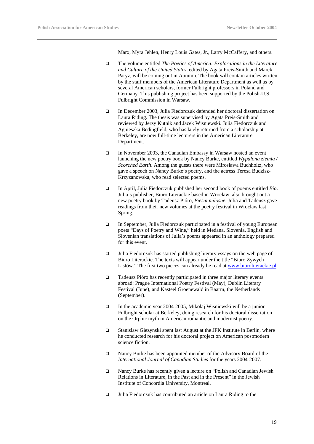Marx, Myra Jehlen, Henry Louis Gates, Jr., Larry McCaffery, and others.

- q The volume entitled *The Poetics of America: Explorations in the Literature and Culture of the United States*, edited by Agata Preis-Smith and Marek Paryz, will be coming out in Autumn. The book will contain articles written by the staff members of the American Literature Department as well as by several American scholars, former Fulbright professors in Poland and Germany. This publishing project has been supported by the Polish-U.S. Fulbright Commission in Warsaw.
- q In December 2003, Julia Fiedorczuk defended her doctoral dissertation on Laura Riding. The thesis was supervised by Agata Preis-Smith and reviewed by Jerzy Kutnik and Jacek Wisniewski. Julia Fiedorczuk and Agnieszka Bedingfield, who has lately returned from a scholarship at Berkeley, are now full-time lecturers in the American Literature Department.
- □ In November 2003, the Canadian Embassy in Warsaw hosted an event launching the new poetry book by Nancy Burke, entitled *Wypalona ziemia / Scorched Earth*. Among the guests there were Miroslawa Buchholtz, who gave a speech on Nancy Burke's poetry, and the actress Teresa Budzisz-Krzyzanowska, who read selected poems.
- q In April, Julia Fiedorczuk published her second book of poems entitled *Bio*. Julia's publisher, Biuro Literackie based in Wroclaw, also brought out a new poetry book by Tadeusz Pióro, *Piesni milosne*. Julia and Tadeusz gave readings from their new volumes at the poetry festival in Wroclaw last Spring.
- $\Box$  In September, Julia Fiedorczuk participated in a festival of young European poets "Days of Poetry and Wine," held in Medana, Slovenia. English and Slovenian translations of Julia's poems appeared in an anthology prepared for this event.
- $\Box$  Julia Fiedorczuk has started publishing literary essays on the web page of Biuro Literackie. The texts will appear under the title "Biuro Zywych Listów." The first two pieces can already be read at www.biuroliterackie.pl.
- $\Box$  Tadeusz Pióro has recently participated in three major literary events abroad: Prague International Poetry Festival (May), Dublin Literary Festival (June), and Kasteel Groenewald in Baarm, the Netherlands (September).
- $\Box$  In the academic year 2004-2005, Mikolaj Wisniewski will be a junior Fulbright scholar at Berkeley, doing research for his doctoral dissertation on the Orphic myth in American romantic and modernist poetry.
- $\Box$  Stanislaw Giezynski spent last August at the JFK Institute in Berlin, where he conducted research for his doctoral project on American postmodern science fiction.
- □ Nancy Burke has been appointed member of the Advisory Board of the *International Journal of Canadian Studies* for the years 2004-2007.
- □ Nancy Burke has recently given a lecture on "Polish and Canadian Jewish Relations in Literature, in the Past and in the Present" in the Jewish Institute of Concordia University, Montreal.
- $\Box$  Julia Fiedorczuk has contributed an article on Laura Riding to the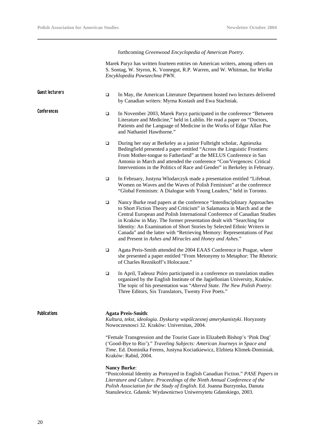forthcoming *Greenwood Encyclopedia of American Poetry*.

Marek Paryz has written fourteen entries on American writers, among others on S. Sontag, W. Styron, K. Vonnegut, R.P. Warren, and W. Whitman, for *Wielka Encyklopedia Powszechna PWN*.

| <b>Guest lecturers</b> | $\Box$ | In May, the American Literature Department hosted two lectures delivered<br>by Canadian writers: Myrna Kostash and Ewa Stachniak.                                                                                                                                                                                                                                                                                                                                                                                      |
|------------------------|--------|------------------------------------------------------------------------------------------------------------------------------------------------------------------------------------------------------------------------------------------------------------------------------------------------------------------------------------------------------------------------------------------------------------------------------------------------------------------------------------------------------------------------|
| Conferences            | $\Box$ | In November 2003, Marek Paryz participated in the conference "Between<br>Literature and Medicine," held in Lublin. He read a paper on "Doctors,<br>Patients and the Language of Medicine in the Works of Edgar Allan Poe<br>and Nathaniel Hawthorne."                                                                                                                                                                                                                                                                  |
|                        | $\Box$ | During her stay at Berkeley as a junior Fulbright scholar, Agnieszka<br>Bedingfield presented a paper entitled "Across the Linguistic Frontiers:<br>From Mother-tongue to Fatherland" at the MELUS Conference in San<br>Antonio in March and attended the conference "Con/Vergences: Critical<br>Interventions in the Politics of Race and Gender" in Berkeley in February.                                                                                                                                            |
|                        | $\Box$ | In February, Justyna Wlodarczyk made a presentation entitled "Lifeboat.<br>Women on Waves and the Waves of Polish Feminism" at the conference<br>"Global Feminism: A Dialogue with Young Leaders," held in Toronto.                                                                                                                                                                                                                                                                                                    |
|                        | $\Box$ | Nancy Burke read papers at the conference "Interdisciplinary Approaches<br>to Short Fiction Theory and Criticism" in Salamanca in March and at the<br>Central European and Polish International Conference of Canadian Studies<br>in Kraków in May. The former presentation dealt with "Searching for<br>Identity: An Examination of Short Stories by Selected Ethnic Writers in<br>Canada" and the latter with "Retrieving Memory: Representations of Past<br>and Present in Ashes and Miracles and Honey and Ashes." |
|                        | $\Box$ | Agata Preis-Smith attended the 2004 EAAS Conference in Prague, where<br>she presented a paper entitled "From Metonymy to Metaphor: The Rhetoric<br>of Charles Reznikoff's Holocaust."                                                                                                                                                                                                                                                                                                                                  |
|                        | $\Box$ | In April, Tadeusz Pióro participated in a conference on translation studies<br>organized by the English Institute of the Jagiellonian University, Kraków.<br>The topic of his presentation was "Altered State. The New Polish Poetry:<br>Three Editors, Six Translators, Twenty Five Poets."                                                                                                                                                                                                                           |
| <b>Publications</b>    |        | <b>Agata Preis-Smith:</b><br>Kultura, tekst, ideologia. Dyskursy wspólczesnej amerykanistyki. Horyzonty<br>Nowoczesnosci 32. Kraków: Universitas, 2004.                                                                                                                                                                                                                                                                                                                                                                |
|                        |        | "Female Transgression and the Tourist Gaze in Elizabeth Bishop's 'Pink Dog'<br>('Good-Bye to Rio')." Traveling Subjects: American Journeys in Space and<br>Time. Ed. Dominika Ferens, Justyna Kociatkiewicz, Elzbieta Klimek-Dominiak.                                                                                                                                                                                                                                                                                 |

**Nancy Burke**:

Kraków: Rabid, 2004.

"Postcolonial Identity as Portrayed in English Canadian Fiction." *PASE Papers in Literature and Culture. Proceedings of the Ninth Annual Conference of the Polish Association for the Study of English*. Ed. Joanna Burzynska, Danuta Stanulewicz. Gdansk: Wydawnictwo Uniwersytetu Gdanskiego, 2003.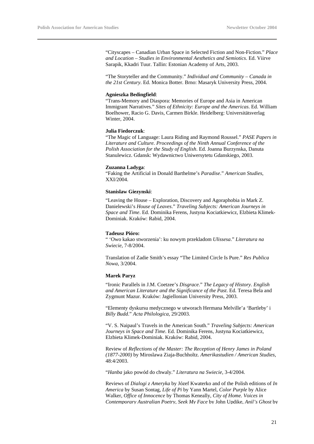"Cityscapes – Canadian Urban Space in Selected Fiction and Non-Fiction." *Place and Location – Studies in Environmental Aesthetics and Semiotics*. Ed. Viirve Sarapik, Kkadri Tuur. Tallin: Estonian Academy of Arts, 2003.

"The Storyteller and the Community." *Individual and Community – Canada in the 21st Century*. Ed. Monica Botter. Brno: Masaryk University Press, 2004.

#### **Agnieszka Bedingfield**:

"Trans-Memory and Diaspora: Memories of Europe and Asia in American Immigrant Narratives." *Sites of Ethnicity: Europe and the Americas*. Ed. William Boelhower, Racio G. Davis, Carmen Birkle. Heidelberg: Universitätsverlag Winter, 2004.

#### **Julia Fiedorczuk**:

"The Magic of Language: Laura Riding and Raymond Roussel." *PASE Papers in Literature and Culture. Proceedings of the Ninth Annual Conference of the Polish Association for the Study of English*. Ed. Joanna Burzynska, Danuta Stanulewicz. Gdansk: Wydawnictwo Uniwersytetu Gdanskiego, 2003.

#### **Zuzanna Ladyga**:

"Faking the Artificial in Donald Barthelme's *Paradise*." *American Studies*, XXI/2004.

#### **Stanislaw Giezynski**:

"Leaving the House – Exploration, Discovery and Agoraphobia in Mark Z. Danielewski's *House of Leaves*." *Traveling Subjects: American Journeys in Space and Time*. Ed. Dominika Ferens, Justyna Kociatkiewicz, Elzbieta Klimek-Dominiak. Kraków: Rabid, 2004.

#### **Tadeusz Pióro:**

" 'Owo kakao stworzenia': ku nowym przekladom *Ulissesa*." *Literatura na Swiecie*, 7-8/2004.

Translation of Zadie Smith's essay "The Limited Circle Is Pure." *Res Publica Nowa*, 3/2004.

#### **Marek Paryz**

"Ironic Parallels in J.M. Coetzee's *Disgrace*." *The Legacy of History. English and American Literature and the Significance of the Past*. Ed. Teresa Bela and Zygmunt Mazur. Kraków: Jagiellonian University Press, 2003.

"Elementy dyskursu medycznego w utworach Hermana Melville'a 'Bartleby' i *Billy Budd*." *Acta Philologica*, 29/2003.

"V. S. Naipaul's Travels in the American South." *Traveling Subjects: American Journeys in Space and Time*. Ed. Dominika Ferens, Justyna Kociatkiewicz, Elzbieta Klimek-Dominiak. Kraków: Rabid, 2004.

Review of *Reflections of the Master: The Reception of Henry James in Poland (1877-2000)* by Miroslawa Ziaja-Buchholtz. *Amerikastudien / American Studies*, 48:4/2003.

"*Hanba* jako powód do chwaly." *Literatura na Swiecie*, 3-4/2004.

Reviews of *Dialogi z Ameryka* by Józef Kwaterko and of the Polish editions of *In America* by Susan Sontag, *Life of Pi* by Yann Martel, *Color Purple* by Alice Walker, *Office of Innocence* by Thomas Keneally, *City of Home. Voices in Contemporary Australian Poetry*, *Seek My Face* by John Updike, *Anil's Ghost* by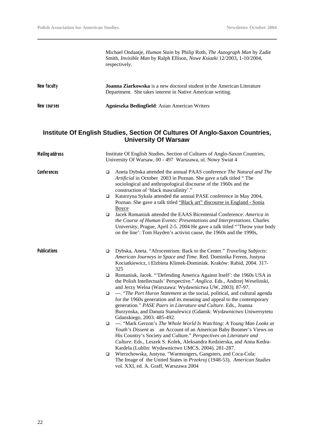Michael Ondaatje, *Human Stain* by Philip Roth, *The Autograph Man* by Zadie Smith, *Invisible Man* by Ralph Ellison, *Nowe Ksiazki* 12/2003, 1-10/2004, respectively.

| New faculty | <b>Joanna Ziarkowska</b> is a new doctoral student in the American Literature<br>Department. She takes interest in Native American writing. |
|-------------|---------------------------------------------------------------------------------------------------------------------------------------------|
| New courses | <b>Agnieszka Bedingfield:</b> Asian American Writers                                                                                        |

## **Institute Of English Studies, Section Of Cultures Of Anglo-Saxon Countries, University Of Warsaw**

| <b>Mailing address</b> | Institute Of English Studies, Section of Cultures of Anglo-Saxon Countries,<br>University Of Warsaw, 00 - 497 Warszawa, ul. Nowy Swiat 4 |                                                                                                                                                                                                                                                                                                                                                    |
|------------------------|------------------------------------------------------------------------------------------------------------------------------------------|----------------------------------------------------------------------------------------------------------------------------------------------------------------------------------------------------------------------------------------------------------------------------------------------------------------------------------------------------|
| Conferences            | $\Box$                                                                                                                                   | Aneta Dybska attended the annual PAAS conference The Natural and The<br>Artificial in October 2003 in Poznan. She gave a talk titled "The<br>sociological and anthropological discourse of the 1960s and the<br>construction of 'black masculinity'."                                                                                              |
|                        | $\Box$                                                                                                                                   | Katarzyna Sykala attended the annual PASE conference in May 2004,<br>Poznan. She gave a talk titled "Black art" discourse in England - Sonia<br>Boyce                                                                                                                                                                                              |
|                        | $\Box$                                                                                                                                   | Jacek Romaniuk attended the EAAS Bicentenial Conference: America in<br>the Course of Human Events: Presentations and Interpretations. Charles<br>University, Prague, April 2-5. 2004 He gave a talk titled "Throw your body<br>on the line': Tom Hayden's activist cause, the 1960s and the 1990s,                                                 |
| <b>Publications</b>    | □                                                                                                                                        | Dybska, Aneta. "Afrocentrism: Back to the Center." Traveling Subjects:<br>American Journeys in Space and Time. Red. Dominika Ferens, Justyna<br>Kociatkiewicz, i Elzbieta Klimek-Dominiak. Kraków: Rabid, 2004. 317-<br>325                                                                                                                        |
|                        | $\Box$                                                                                                                                   | Romaniuk, Jacek. "Defending America Against Itself': the 1960s USA in<br>the Polish Intellectuals' Perspective." Anglica. Eds., Andrzej Weselinski,<br>and Jerzy Welna (Warszawa: Wydawnictwa UW, 2003). 87-97.                                                                                                                                    |
|                        | $\Box$                                                                                                                                   | ---. "The Port Huron Statement as the social, political, and cultural agenda<br>for the 1960s generation and its meaning and appeal to the contemporary<br>generation." PASE Paers in Literature and Culture. Eds., Joanna<br>Burzynska, and Danuta Stanulewicz (Gdansk: Wydawnictwo Uniwersytetu<br>Gdanskiego, 2003. 485-492.                    |
|                        | $\Box$                                                                                                                                   | ---. "Mark Gerzon's The Whole World Is Watching: A Young Man Looks at<br>Youth's Dissent as an Account of an American Baby Boomer's Views on<br>His Country's Society and Culture." Perspectives on Literature and<br>Culture. Eds., Leszek S. Kolek, Aleksandra Kedzierska, and Anna Kedra-<br>Kardela (Lublin: Wydawnictwo UMCS, 2004). 281-287. |
|                        | $\Box$                                                                                                                                   | Wierzchowska, Justyna. "Warmongers, Gangsters, and Coca-Cola:<br>The Image of the United States in Przekroj (1948-53). American Studies<br>vol. XXI, ed. A. Graff, Warszawa 2004                                                                                                                                                                   |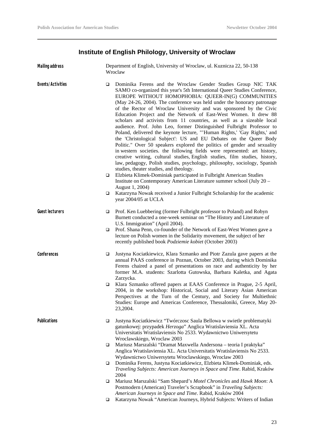## **Institute of English Philology, University of Wroclaw**

| <b>Mailing address</b> |        | Department of English, University of Wroclaw, ul. Kuznicza 22, 50-138<br>Wroclaw                                                                                                                                                                                                                                                                                                                                                                                                                                                                                                                                                                                                                                                                                                                                                                                                                                                                                                                                                                                                         |  |
|------------------------|--------|------------------------------------------------------------------------------------------------------------------------------------------------------------------------------------------------------------------------------------------------------------------------------------------------------------------------------------------------------------------------------------------------------------------------------------------------------------------------------------------------------------------------------------------------------------------------------------------------------------------------------------------------------------------------------------------------------------------------------------------------------------------------------------------------------------------------------------------------------------------------------------------------------------------------------------------------------------------------------------------------------------------------------------------------------------------------------------------|--|
| Events/Activities      | $\Box$ | Dominika Ferens and the Wroclaw Gender Studies Group NIC TAK<br>SAMO co-organized this year's 5th International Queer Studies Conference,<br>EUROPE WITHOUT HOMOPHOBIA: QUEER-IN(G) COMMUNITIES<br>(May 24-26, 2004). The conference was held under the honorary patronage<br>of the Rector of Wroclaw University and was sponsored by the Civic<br>Education Project and the Network of East-West Women. It drew 88<br>scholars and activists from 11 countries, as well as a sizeable local<br>audience. Prof. John Leo, former Distinguished Fulbright Professor to<br>Poland, delivered the keynote lecture, "'Human Rights,' 'Gay Rights,' and<br>the 'Christological Subject': US and EU Debates on the Queer Body<br>Politic." Over 50 speakers explored the politics of gender and sexuality<br>in western societies. the following fields were represented: art history,<br>creative writing, cultural studies, English studies, film studies, history,<br>law, pedagogy, Polish studies, psychology, philosophy, sociology, Spanish<br>studies, theater studies, and theology. |  |
|                        | □      | Elzbieta Klimek-Dominiak participated in Fulbright American Studies<br>Institute on Contemporary American Literature summer school (July 20 -<br>August 1, 2004)                                                                                                                                                                                                                                                                                                                                                                                                                                                                                                                                                                                                                                                                                                                                                                                                                                                                                                                         |  |
|                        | □      | Katarzyna Nowak received a Junior Fulbright Scholarship for the academic<br>year 2004/05 at UCLA                                                                                                                                                                                                                                                                                                                                                                                                                                                                                                                                                                                                                                                                                                                                                                                                                                                                                                                                                                                         |  |
| <b>Guest lecturers</b> | $\Box$ | Prof. Ken Luebbering (former Fulbright professor to Poland) and Robyn<br>Burnett conducted a one-week seminar on "The History and Literature of<br>U.S. Immigration" (April 2004).                                                                                                                                                                                                                                                                                                                                                                                                                                                                                                                                                                                                                                                                                                                                                                                                                                                                                                       |  |
|                        | □      | Prof. Shana Penn, co-founder of the Network of East-West Women gave a<br>lecture on Polish women in the Solidarity movement, the subject of her<br>recently published book Podziemie kobiet (October 2003)                                                                                                                                                                                                                                                                                                                                                                                                                                                                                                                                                                                                                                                                                                                                                                                                                                                                               |  |
| Conferences            | □      | Justyna Kociatkiewicz, Klara Szmanko and Piotr Zazula gave papers at the<br>annual PAAS conference in Poznan, October 2003, during which Dominika<br>Ferens chaired a panel of presentations on race and authenticity by her<br>former M.A. students: Szarlotta Gutowska, Barbara Kaletka, and Agata<br>Zarzycka.                                                                                                                                                                                                                                                                                                                                                                                                                                                                                                                                                                                                                                                                                                                                                                        |  |
|                        | $\Box$ | Klara Szmanko offered papers at EAAS Conference in Prague, 2-5 April,<br>2004, in the workshop: Historical, Social and Literary Asian American<br>Perspectives at the Turn of the Century, and Society for Multiethnic<br>Studies: Europe and Americas Conference, Thessaloniki, Greece, May 20-<br>23,2004.                                                                                                                                                                                                                                                                                                                                                                                                                                                                                                                                                                                                                                                                                                                                                                             |  |
| <b>Publications</b>    | $\Box$ | Justyna Kociatkiewicz "Twórczosc Saula Bellowa w swietle problematyki<br>gatunkowej: przypadek Herzoga" Anglica Wratislaviensia XL. Acta<br>Universitatis Wratislaviensis No 2533. Wydawnictwo Uniwersytetu<br>Wroclawskiego, Wroclaw 2003                                                                                                                                                                                                                                                                                                                                                                                                                                                                                                                                                                                                                                                                                                                                                                                                                                               |  |
|                        | □      | Mariusz Marszalski "Dramat Maxwella Andersona - teoria I praktyka"<br>Anglica Wratislaviensia XL. Acta Universitatis Wratislaviensis No 2533.<br>Wydawnictwo Uniwersytetu Wroclawskiego, Wroclaw 2003                                                                                                                                                                                                                                                                                                                                                                                                                                                                                                                                                                                                                                                                                                                                                                                                                                                                                    |  |
|                        | □      | Dominika Ferens, Justyna Kociatkiewicz, Elzbieta Klimek-Dominiak, eds.<br>Traveling Subjects: American Journeys in Space and Time. Rabid, Kraków<br>2004                                                                                                                                                                                                                                                                                                                                                                                                                                                                                                                                                                                                                                                                                                                                                                                                                                                                                                                                 |  |
|                        | ❏      | Mariusz Marszalski "Sam Shepard's Motel Chronicles and Hawk Moon: A<br>Postmodern (American) Traveler's Scrapbook" in Traveling Subjects:<br>American Journeys in Space and Time. Rabid, Kraków 2004                                                                                                                                                                                                                                                                                                                                                                                                                                                                                                                                                                                                                                                                                                                                                                                                                                                                                     |  |
|                        | $\Box$ | Katarzyna Nowak "American Journeys, Hybrid Subjects: Writers of Indian                                                                                                                                                                                                                                                                                                                                                                                                                                                                                                                                                                                                                                                                                                                                                                                                                                                                                                                                                                                                                   |  |